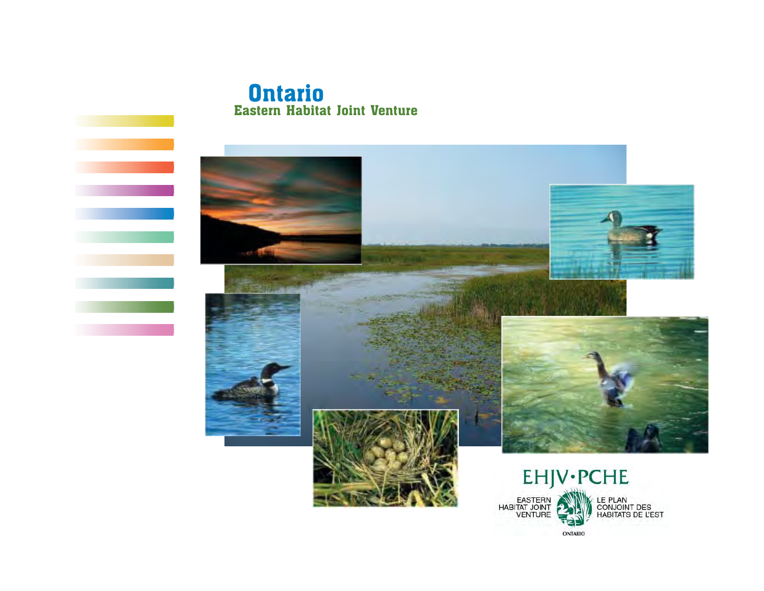# **Ontario** Eastern Habitat Joint Venture

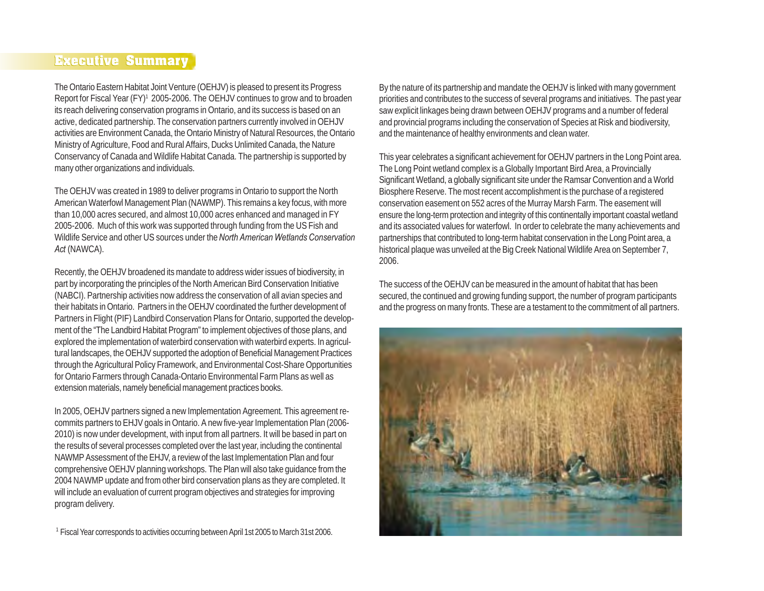## **Executive Summary Executive Summary**

The Ontario Eastern Habitat Joint Venture (OEHJV) is pleased to present its Progress Report for Fiscal Year (FY)<sup>1</sup> 2005-2006. The OEHJV continues to grow and to broaden its reach delivering conservation programs in Ontario, and its success is based on an active, dedicated partnership. The conservation partners currently involved in OEHJV activities are Environment Canada, the Ontario Ministry of Natural Resources, the Ontario Ministry of Agriculture, Food and Rural Affairs, Ducks Unlimited Canada, the Nature Conservancy of Canada and Wildlife Habitat Canada. The partnership is supported by many other organizations and individuals.

The OEHJV was created in 1989 to deliver programs in Ontario to support the North American Waterfowl Management Plan (NAWMP). This remains a key focus, with more than 10,000 acres secured, and almost 10,000 acres enhanced and managed in FY 2005-2006. Much of this work was supported through funding from the US Fish and Wildlife Service and other US sources under the *North American Wetlands Conservation Act* (NAWCA).

Recently, the OEHJV broadened its mandate to address wider issues of biodiversity, in part by incorporating the principles of the North American Bird Conservation Initiative (NABCI). Partnership activities now address the conservation of all avian species and their habitats in Ontario. Partners in the OEHJV coordinated the further development of Partners in Flight (PIF) Landbird Conservation Plans for Ontario, supported the development of the "The Landbird Habitat Program" to implement objectives of those plans, and explored the implementation of waterbird conservation with waterbird experts. In agricultural landscapes, the OEHJV supported the adoption of Beneficial Management Practices through the Agricultural Policy Framework, and Environmental Cost-Share Opportunities for Ontario Farmers through Canada-Ontario Environmental Farm Plans as well as extension materials, namely beneficial management practices books.

In 2005, OEHJV partners signed a new Implementation Agreement. This agreement recommits partners to EHJV goals in Ontario. A new five-year Implementation Plan (2006- 2010) is now under development, with input from all partners. It will be based in part on the results of several processes completed over the last year, including the continental NAWMP Assessment of the EHJV, a review of the last Implementation Plan and four comprehensive OEHJV planning workshops. The Plan will also take guidance from the 2004 NAWMP update and from other bird conservation plans as they are completed. It will include an evaluation of current program objectives and strategies for improving program delivery.

<sup>1</sup> Fiscal Year corresponds to activities occurring between April 1st 2005 to March 31st 2006.

By the nature of its partnership and mandate the OEHJV is linked with many government priorities and contributes to the success of several programs and initiatives. The past year saw explicit linkages being drawn between OEHJV programs and a number of federal and provincial programs including the conservation of Species at Risk and biodiversity, and the maintenance of healthy environments and clean water.

This year celebrates a significant achievement for OEHJV partners in the Long Point area. The Long Point wetland complex is a Globally Important Bird Area, a Provincially Significant Wetland, a globally significant site under the Ramsar Convention and a World Biosphere Reserve. The most recent accomplishment is the purchase of a registered conservation easement on 552 acres of the Murray Marsh Farm. The easement will ensure the long-term protection and integrity of this continentally important coastal wetland and its associated values for waterfowl. In order to celebrate the many achievements and partnerships that contributed to long-term habitat conservation in the Long Point area, a historical plaque was unveiled at the Big Creek National Wildlife Area on September 7, 2006.

The success of the OEHJV can be measured in the amount of habitat that has been secured, the continued and growing funding support, the number of program participants and the progress on many fronts. These are a testament to the commitment of all partners.

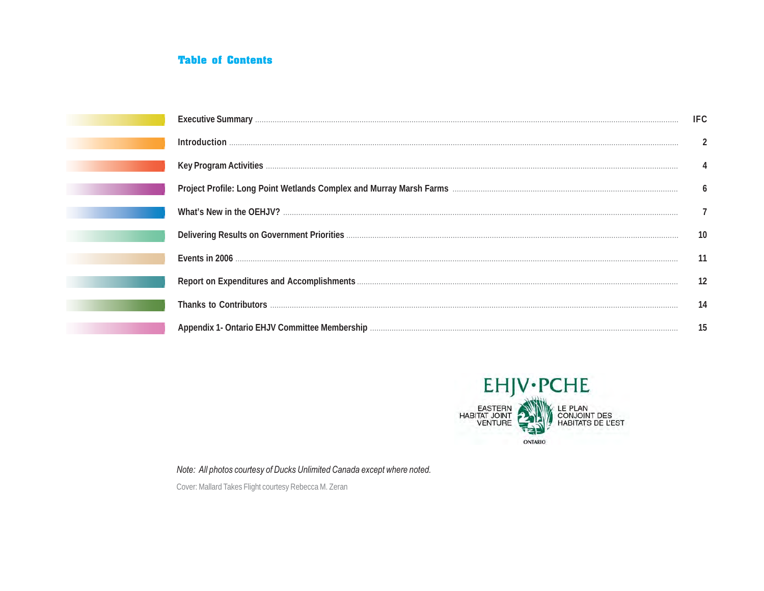## **Table of Contents**

|                                                                                                                             | IFC |
|-----------------------------------------------------------------------------------------------------------------------------|-----|
|                                                                                                                             |     |
| Key Program Activities <b>Manual Activities Constitution and Activities Constitution</b> and Activities <b>Constitution</b> |     |
|                                                                                                                             | 6   |
|                                                                                                                             |     |
|                                                                                                                             | 10  |
|                                                                                                                             |     |
|                                                                                                                             | 12  |
|                                                                                                                             | 14  |
|                                                                                                                             | 15  |



Note: All photos courtesy of Ducks Unlimited Canada except where noted.

Cover: Mallard Takes Flight courtesy Rebecca M. Zeran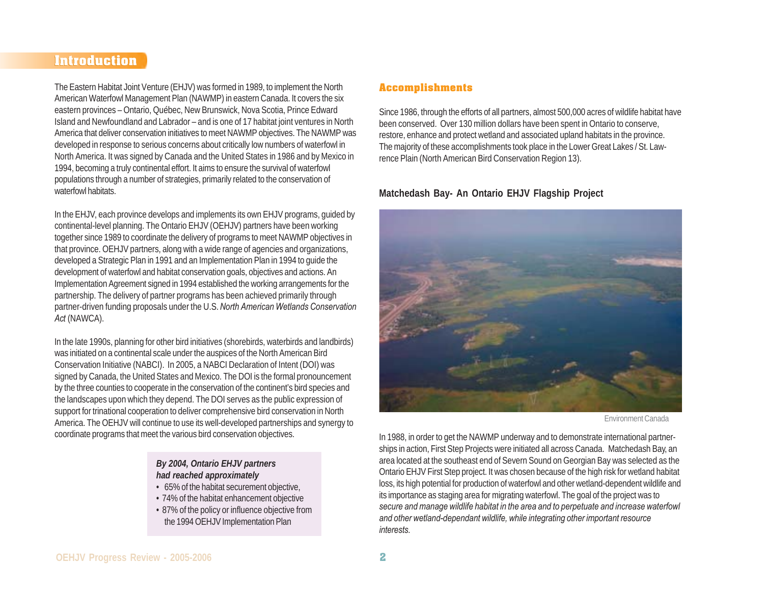## **Introduction Introduction**

The Eastern Habitat Joint Venture (EHJV) was formed in 1989, to implement the North American Waterfowl Management Plan (NAWMP) in eastern Canada. It covers the six eastern provinces – Ontario, Québec, New Brunswick, Nova Scotia, Prince Edward Island and Newfoundland and Labrador – and is one of 17 habitat joint ventures in North America that deliver conservation initiatives to meet NAWMP objectives. The NAWMP was developed in response to serious concerns about critically low numbers of waterfowl in North America. It was signed by Canada and the United States in 1986 and by Mexico in 1994, becoming a truly continental effort. It aims to ensure the survival of waterfowl populations through a number of strategies, primarily related to the conservation of waterfowl habitats.

In the EHJV, each province develops and implements its own EHJV programs, guided by continental-level planning. The Ontario EHJV (OEHJV) partners have been working together since 1989 to coordinate the delivery of programs to meet NAWMP objectives in that province. OEHJV partners, along with a wide range of agencies and organizations, developed a Strategic Plan in 1991 and an Implementation Plan in 1994 to guide the development of waterfowl and habitat conservation goals, objectives and actions. An Implementation Agreement signed in 1994 established the working arrangements for the partnership. The delivery of partner programs has been achieved primarily through partner-driven funding proposals under the U.S. *North American Wetlands Conservation Act* (NAWCA).

In the late 1990s, planning for other bird initiatives (shorebirds, waterbirds and landbirds) was initiated on a continental scale under the auspices of the North American Bird Conservation Initiative (NABCI). In 2005, a NABCI Declaration of Intent (DOI) was signed by Canada, the United States and Mexico. The DOI is the formal pronouncement by the three counties to cooperate in the conservation of the continent's bird species and the landscapes upon which they depend. The DOI serves as the public expression of support for trinational cooperation to deliver comprehensive bird conservation in North America. The OEHJV will continue to use its well-developed partnerships and synergy to coordinate programs that meet the various bird conservation objectives.

#### *By 2004, Ontario EHJV partners had reached approximately*

- 65% of the habitat securement objective,
- 74% of the habitat enhancement objective
- 87% of the policy or influence objective from the 1994 OEHJV Implementation Plan

### **Accomplishments**

Since 1986, through the efforts of all partners, almost 500,000 acres of wildlife habitat have been conserved. Over 130 million dollars have been spent in Ontario to conserve, restore, enhance and protect wetland and associated upland habitats in the province. The majority of these accomplishments took place in the Lower Great Lakes / St. Lawrence Plain (North American Bird Conservation Region 13).

### **Matchedash Bay- An Ontario EHJV Flagship Project**



#### Environment Canada

In 1988, in order to get the NAWMP underway and to demonstrate international partnerships in action, First Step Projects were initiated all across Canada. Matchedash Bay, an area located at the southeast end of Severn Sound on Georgian Bay was selected as the Ontario EHJV First Step project. It was chosen because of the high risk for wetland habitat loss, its high potential for production of waterfowl and other wetland-dependent wildlife and its importance as staging area for migrating waterfowl. The goal of the project was to *secure and manage wildlife habitat in the area and to perpetuate and increase waterfowl and other wetland-dependant wildlife, while integrating other important resource interests.*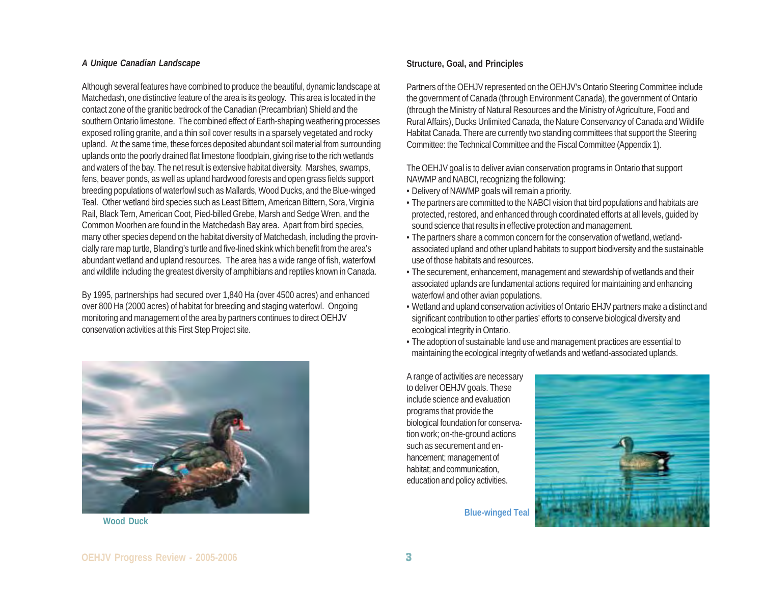#### *A Unique Canadian Landscape*

Although several features have combined to produce the beautiful, dynamic landscape at Matchedash, one distinctive feature of the area is its geology. This area is located in the contact zone of the granitic bedrock of the Canadian (Precambrian) Shield and the southern Ontario limestone. The combined effect of Earth-shaping weathering processes exposed rolling granite, and a thin soil cover results in a sparsely vegetated and rocky upland. At the same time, these forces deposited abundant soil material from surrounding uplands onto the poorly drained flat limestone floodplain, giving rise to the rich wetlands and waters of the bay. The net result is extensive habitat diversity. Marshes, swamps, fens, beaver ponds, as well as upland hardwood forests and open grass fields support breeding populations of waterfowl such as Mallards, Wood Ducks, and the Blue-winged Teal. Other wetland bird species such as Least Bittern, American Bittern, Sora, Virginia Rail, Black Tern, American Coot, Pied-billed Grebe, Marsh and Sedge Wren, and the Common Moorhen are found in the Matchedash Bay area. Apart from bird species, many other species depend on the habitat diversity of Matchedash, including the provincially rare map turtle, Blanding's turtle and five-lined skink which benefit from the area's abundant wetland and upland resources. The area has a wide range of fish, waterfowl and wildlife including the greatest diversity of amphibians and reptiles known in Canada.

By 1995, partnerships had secured over 1,840 Ha (over 4500 acres) and enhanced over 800 Ha (2000 acres) of habitat for breeding and staging waterfowl. Ongoing monitoring and management of the area by partners continues to direct OEHJV conservation activities at this First Step Project site.



#### **Structure, Goal, and Principles**

Partners of the OEHJV represented on the OEHJV's Ontario Steering Committee include the government of Canada (through Environment Canada), the government of Ontario (through the Ministry of Natural Resources and the Ministry of Agriculture, Food and Rural Affairs), Ducks Unlimited Canada, the Nature Conservancy of Canada and Wildlife Habitat Canada. There are currently two standing committees that support the Steering Committee: the Technical Committee and the Fiscal Committee (Appendix 1).

The OEHJV goal is to deliver avian conservation programs in Ontario that support NAWMP and NABCI, recognizing the following:

- Delivery of NAWMP goals will remain a priority.
- The partners are committed to the NABCI vision that bird populations and habitats are protected, restored, and enhanced through coordinated efforts at all levels, guided by sound science that results in effective protection and management.
- The partners share a common concern for the conservation of wetland, wetlandassociated upland and other upland habitats to support biodiversity and the sustainable use of those habitats and resources.
- The securement, enhancement, management and stewardship of wetlands and their associated uplands are fundamental actions required for maintaining and enhancing waterfowl and other avian populations.
- Wetland and upland conservation activities of Ontario EHJV partners make a distinct and significant contribution to other parties' efforts to conserve biological diversity and ecological integrity in Ontario.
- The adoption of sustainable land use and management practices are essential to maintaining the ecological integrity of wetlands and wetland-associated uplands.

A range of activities are necessary to deliver OEHJV goals. These include science and evaluation programs that provide the biological foundation for conservation work; on-the-ground actions such as securement and enhancement; management of habitat; and communication, education and policy activities.

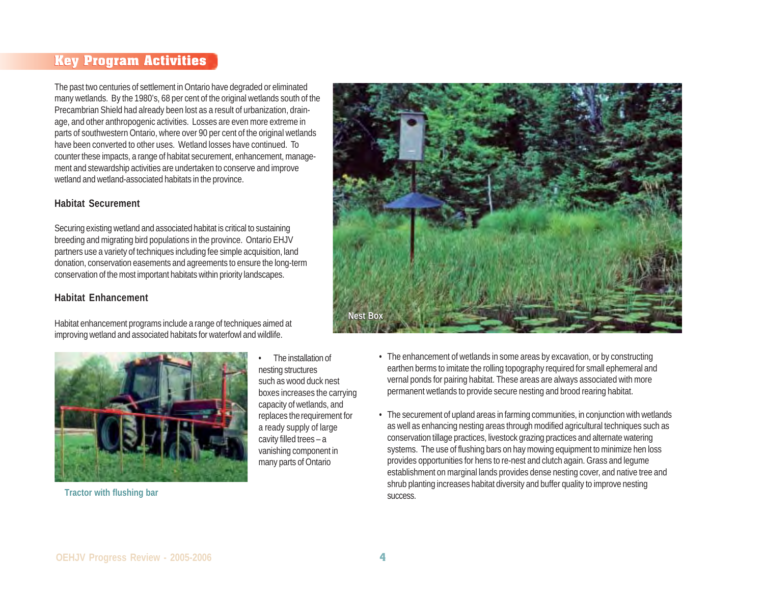# **Key Program Activities Key Program Activities**

The past two centuries of settlement in Ontario have degraded or eliminated many wetlands. By the 1980's, 68 per cent of the original wetlands south of the Precambrian Shield had already been lost as a result of urbanization, drainage, and other anthropogenic activities. Losses are even more extreme in parts of southwestern Ontario, where over 90 per cent of the original wetlands have been converted to other uses. Wetland losses have continued. To counter these impacts, a range of habitat securement, enhancement, management and stewardship activities are undertaken to conserve and improve wetland and wetland-associated habitats in the province.

#### **Habitat Securement**

Securing existing wetland and associated habitat is critical to sustaining breeding and migrating bird populations in the province. Ontario EHJV partners use a variety of techniques including fee simple acquisition, land donation, conservation easements and agreements to ensure the long-term conservation of the most important habitats within priority landscapes.

### **Habitat Enhancement**

Habitat enhancement programs include a range of techniques aimed at improving wetland and associated habitats for waterfowl and wildlife.



• The installation of nesting structures such as wood duck nest boxes increases the carrying capacity of wetlands, and replaces therequirement for a ready supply of large cavity filled trees – a vanishing component in many parts of Ontario

**Nest Box Nest Box**

- The enhancement of wetlands in some areas by excavation, or by constructing earthen berms to imitate the rolling topography required for small ephemeral and vernal ponds for pairing habitat. These areas are always associated with more permanent wetlands to provide secure nesting and brood rearing habitat.
- The securement of upland areas in farming communities, in conjunction with wetlands as well as enhancing nesting areas through modified agricultural techniques such as conservation tillage practices, livestock grazing practices and alternate watering systems. The use of flushing bars on hay mowing equipment to minimize hen loss provides opportunities for hens to re-nest and clutch again. Grass and legume establishment on marginal lands provides dense nesting cover, and native tree and shrub planting increases habitat diversity and buffer quality to improve nesting success.

**Tractor with flushing bar**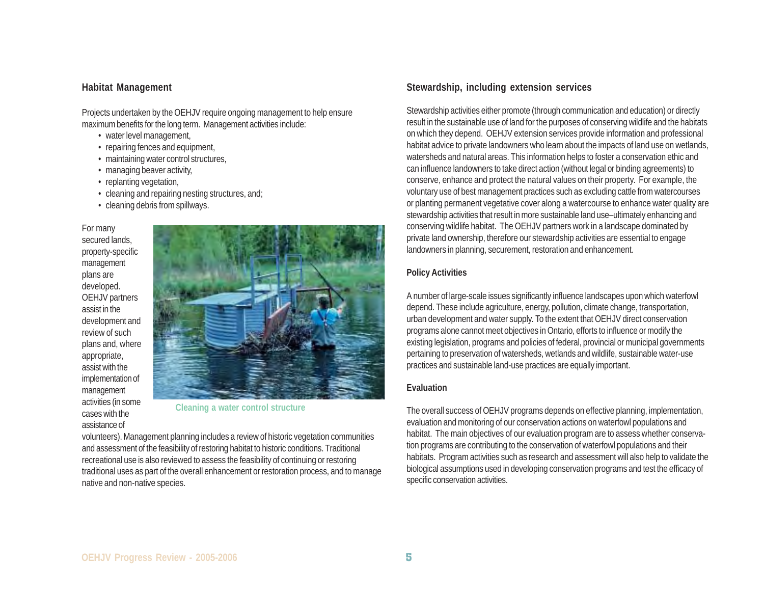#### **Habitat Management**

Projects undertaken by the OEHJV require ongoing management to help ensure maximum benefits for the long term. Management activities include:

- water level management,
- repairing fences and equipment,
- maintaining water control structures,
- managing beaver activity,
- replanting vegetation,
- cleaning and repairing nesting structures, and;
- cleaning debris from spillways.

For many secured lands, property-specific management plans are developed. OEHJV partners assist in the development and review of such plans and, where appropriate, assist with the implementation of management activities (in some cases with the assistance of



**Cleaning a water control structure**

volunteers). Management planning includes a review of historic vegetation communities and assessment of the feasibility of restoring habitat to historic conditions. Traditional recreational use is also reviewed to assess the feasibility of continuing or restoring traditional uses as part of the overall enhancement or restoration process, and to manage native and non-native species.

#### **Stewardship, including extension services**

Stewardship activities either promote (through communication and education) or directly result in the sustainable use of land for the purposes of conserving wildlife and the habitats on which they depend. OEHJV extension services provide information and professional habitat advice to private landowners who learn about the impacts of land use on wetlands, watersheds and natural areas. This information helps to foster a conservation ethic and can influence landowners to take direct action (without legal or binding agreements) to conserve, enhance and protect the natural values on their property. For example, the voluntary use of best management practices such as excluding cattle from watercourses or planting permanent vegetative cover along a watercourse to enhance water quality are stewardship activities that result in more sustainable land use–ultimately enhancing and conserving wildlife habitat. The OEHJV partners work in a landscape dominated by private land ownership, therefore our stewardship activities are essential to engage landowners in planning, securement, restoration and enhancement.

#### **Policy Activities**

A number of large-scale issues significantly influence landscapes upon which waterfowl depend. These include agriculture, energy, pollution, climate change, transportation, urban development and water supply. To the extent that OEHJV direct conservation programs alone cannot meet objectives in Ontario, efforts to influence or modify the existing legislation, programs and policies of federal, provincial or municipal governments pertaining to preservation of watersheds, wetlands and wildlife, sustainable water-use practices and sustainable land-use practices are equally important.

#### **Evaluation**

The overall success of OEHJV programs depends on effective planning, implementation, evaluation and monitoring of our conservation actions on waterfowl populations and habitat. The main objectives of our evaluation program are to assess whether conservation programs are contributing to the conservation of waterfowl populations and their habitats. Program activities such as research and assessment will also help to validate the biological assumptions used in developing conservation programs and test the efficacy of specific conservation activities.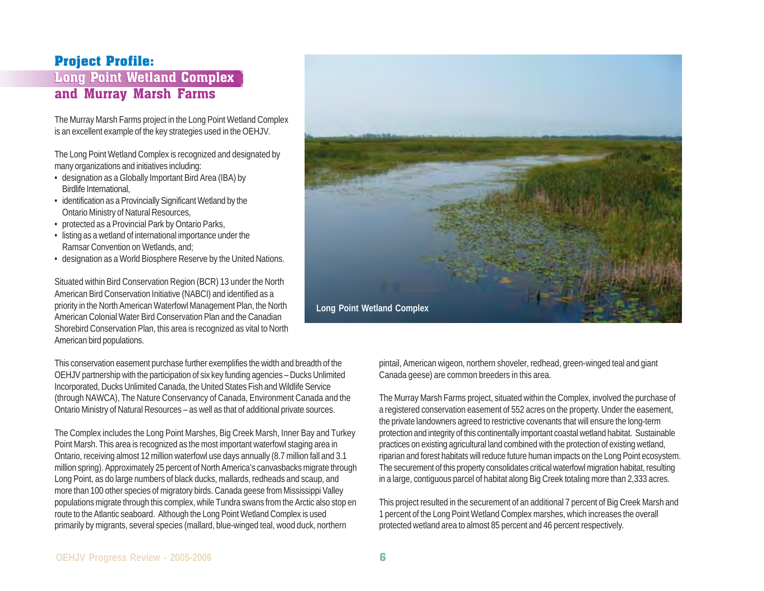# **Project Profile:**

# Long Point Wetland Complex Long Point Wetland Complex and Murray Marsh Farms

The Murray Marsh Farms project in the Long Point Wetland Complex is an excellent example of the key strategies used in the OEHJV.

The Long Point Wetland Complex is recognized and designated by many organizations and initiatives including:

- designation as a Globally Important Bird Area (IBA) by Birdlife International,
- identification as a Provincially Significant Wetland by the Ontario Ministry of Natural Resources,
- protected as a Provincial Park by Ontario Parks,
- listing as a wetland of international importance under the Ramsar Convention on Wetlands, and;
- designation as a World Biosphere Reserve by the United Nations.

Situated within Bird Conservation Region (BCR) 13 under the North American Bird Conservation Initiative (NABCI) and identified as a priority in the North American Waterfowl Management Plan, the North American Colonial Water Bird Conservation Plan and the Canadian Shorebird Conservation Plan, this area is recognized as vital to North American bird populations.

This conservation easement purchase further exemplifies the width and breadth of the OEHJV partnership with the participation of six key funding agencies – Ducks Unlimited Incorporated, Ducks Unlimited Canada, the United States Fish and Wildlife Service (through NAWCA), The Nature Conservancy of Canada, Environment Canada and the Ontario Ministry of Natural Resources – as well as that of additional private sources.

The Complex includes the Long Point Marshes, Big Creek Marsh, Inner Bay and Turkey Point Marsh. This area is recognized as the most important waterfowl staging area in Ontario, receiving almost 12 million waterfowl use days annually (8.7 million fall and 3.1 million spring). Approximately 25 percent of North America's canvasbacks migrate through Long Point, as do large numbers of black ducks, mallards, redheads and scaup, and more than 100 other species of migratory birds. Canada geese from Mississippi Valley populations migrate through this complex, while Tundra swans from the Arctic also stop en route to the Atlantic seaboard. Although the Long Point Wetland Complex is used primarily by migrants, several species (mallard, blue-winged teal, wood duck, northern



pintail, American wigeon, northern shoveler, redhead, green-winged teal and giant Canada geese) are common breeders in this area.

The Murray Marsh Farms project, situated within the Complex, involved the purchase of a registered conservation easement of 552 acres on the property. Under the easement, the private landowners agreed to restrictive covenants that will ensure the long-term protection and integrity of this continentally important coastal wetland habitat. Sustainable practices on existing agricultural land combined with the protection of existing wetland, riparian and forest habitats will reduce future human impacts on the Long Point ecosystem. The securement of this property consolidates critical waterfowl migration habitat, resulting in a large, contiguous parcel of habitat along Big Creek totaling more than 2,333 acres.

This project resulted in the securement of an additional 7 percent of Big Creek Marsh and 1 percent of the Long Point Wetland Complex marshes, which increases the overall protected wetland area to almost 85 percent and 46 percent respectively.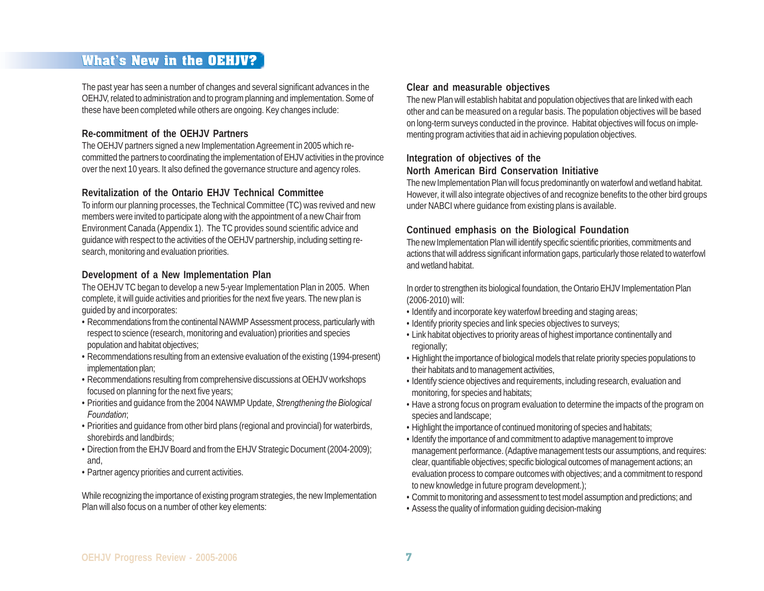# **What's New in the OEHJV?**

The past year has seen a number of changes and several significant advances in the OEHJV, related to administration and to program planning and implementation. Some of these have been completed while others are ongoing. Key changes include:

### **Re-commitment of the OEHJV Partners**

The OEHJV partners signed a new Implementation Agreement in 2005 which recommitted the partners to coordinating the implementation of EHJV activities in the province over the next 10 years. It also defined the governance structure and agency roles.

### **Revitalization of the Ontario EHJV Technical Committee**

To inform our planning processes, the Technical Committee (TC) was revived and new members were invited to participate along with the appointment of a new Chair from Environment Canada (Appendix 1). The TC provides sound scientific advice and guidance with respect to the activities of the OEHJV partnership, including setting research, monitoring and evaluation priorities.

#### **Development of a New Implementation Plan**

The OEHJV TC began to develop a new 5-year Implementation Plan in 2005. When complete, it will guide activities and priorities for the next five years. The new plan is guided by and incorporates:

- Recommendations from the continental NAWMP Assessment process, particularly with respect to science (research, monitoring and evaluation) priorities and species population and habitat objectives;
- Recommendations resulting from an extensive evaluation of the existing (1994-present) implementation plan;
- Recommendations resulting from comprehensive discussions at OEHJV workshops focused on planning for the next five years;
- Priorities and guidance from the 2004 NAWMP Update, *Strengthening the Biological Foundation*;
- Priorities and guidance from other bird plans (regional and provincial) for waterbirds, shorebirds and landbirds;
- Direction from the EHJV Board and from the EHJV Strategic Document (2004-2009); and,
- Partner agency priorities and current activities.

While recognizing the importance of existing program strategies, the new Implementation Plan will also focus on a number of other key elements:

### **Clear and measurable objectives**

The new Plan will establish habitat and population objectives that are linked with each other and can be measured on a regular basis. The population objectives will be based on long-term surveys conducted in the province. Habitat objectives will focus on implementing program activities that aid in achieving population objectives.

#### **Integration of objectives of the North American Bird Conservation Initiative**

The new Implementation Plan will focus predominantly on waterfowl and wetland habitat. However, it will also integrate objectives of and recognize benefits to the other bird groups under NABCI where guidance from existing plans is available.

### **Continued emphasis on the Biological Foundation**

The new Implementation Plan will identify specific scientific priorities, commitments and actions that will address significant information gaps, particularly those related to waterfowl and wetland habitat.

In order to strengthen its biological foundation, the Ontario EHJV Implementation Plan (2006-2010) will:

- Identify and incorporate key waterfowl breeding and staging areas;
- Identify priority species and link species objectives to surveys;
- Link habitat objectives to priority areas of highest importance continentally and regionally;
- Highlight the importance of biological models that relate priority species populations to their habitats and to management activities,
- Identify science objectives and requirements, including research, evaluation and monitoring, for species and habitats;
- Have a strong focus on program evaluation to determine the impacts of the program on species and landscape;
- Highlight the importance of continued monitoring of species and habitats;
- Identify the importance of and commitment to adaptive management to improve management performance. (Adaptive management tests our assumptions, and requires: clear, quantifiable objectives; specific biological outcomes of management actions; an evaluation process to compare outcomes with objectives; and a commitment to respond to new knowledge in future program development.);
- Commit to monitoring and assessment to test model assumption and predictions; and
- Assess the quality of information guiding decision-making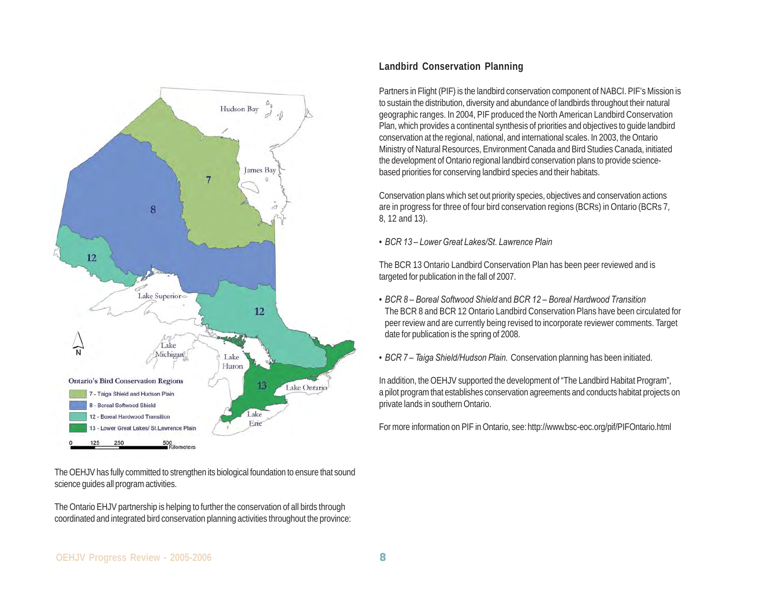

The OEHJV has fully committed to strengthen its biological foundation to ensure that sound science guides all program activities.

The Ontario EHJV partnership is helping to further the conservation of all birds through coordinated and integrated bird conservation planning activities throughout the province:

## **Landbird Conservation Planning**

Partners in Flight (PIF) is the landbird conservation component of NABCI. PIF's Mission is to sustain the distribution, diversity and abundance of landbirds throughout their natural geographic ranges. In 2004, PIF produced the North American Landbird Conservation Plan, which provides a continental synthesis of priorities and objectives to guide landbird conservation at the regional, national, and international scales. In 2003, the Ontario Ministry of Natural Resources, Environment Canada and Bird Studies Canada, initiated the development of Ontario regional landbird conservation plans to provide sciencebased priorities for conserving landbird species and their habitats.

Conservation plans which set out priority species, objectives and conservation actions are in progress for three of four bird conservation regions (BCRs) in Ontario (BCRs 7, 8, 12 and 13).

• *BCR 13 – Lower Great Lakes/St. Lawrence Plain*

The BCR 13 Ontario Landbird Conservation Plan has been peer reviewed and is targeted for publication in the fall of 2007.

- *BCR 8 Boreal Softwood Shield* and *BCR 12 Boreal Hardwood Transition* The BCR 8 and BCR 12 Ontario Landbird Conservation Plans have been circulated for peer review and are currently being revised to incorporate reviewer comments. Target date for publication is the spring of 2008.
- *BCR 7 Taiga Shield/Hudson Plain.* Conservation planning has been initiated.

In addition, the OEHJV supported the development of "The Landbird Habitat Program", a pilot program that establishes conservation agreements and conducts habitat projects on private lands in southern Ontario.

For more information on PIF in Ontario, see: http://www.bsc-eoc.org/pif/PIFOntario.html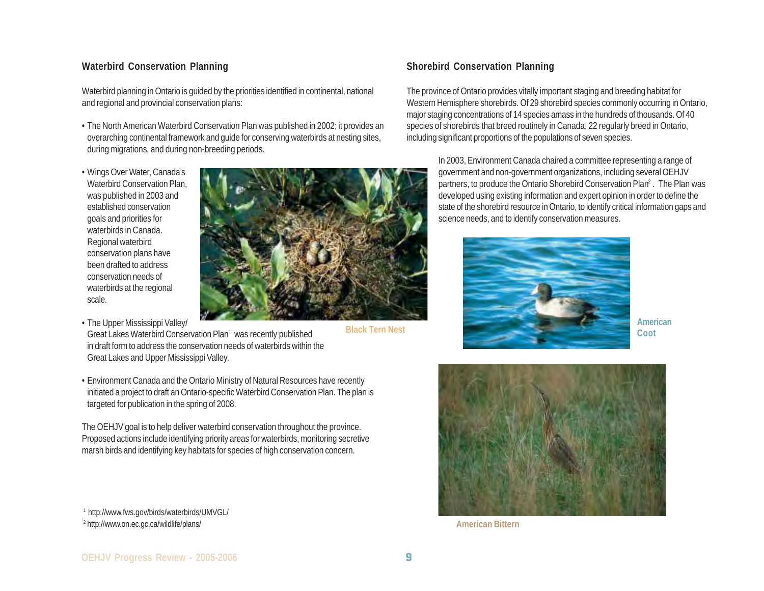#### **Waterbird Conservation Planning**

Waterbird planning in Ontario is guided by the priorities identified in continental, national and regional and provincial conservation plans:

- The North American Waterbird Conservation Plan was published in 2002; it provides an overarching continental framework and guide for conserving waterbirds at nesting sites, during migrations, and during non-breeding periods.
- Wings Over Water, Canada's Waterbird Conservation Plan, was published in 2003 and established conservation goals and priorities for waterbirds in Canada. Regional waterbird conservation plans have been drafted to address conservation needs of waterbirds at the regional scale.
- The Upper Mississippi Valley/



**Black Tern Nest**

- Great Lakes Waterbird Conservation Plan1 was recently published in draft form to address the conservation needs of waterbirds within the Great Lakes and Upper Mississippi Valley.
- Environment Canada and the Ontario Ministry of Natural Resources have recently initiated a project to draft an Ontario-specific Waterbird Conservation Plan. The plan is targeted for publication in the spring of 2008.

The OEHJV goal is to help deliver waterbird conservation throughout the province. Proposed actions include identifying priority areas for waterbirds, monitoring secretive marsh birds and identifying key habitats for species of high conservation concern.

1 http://www.fws.gov/birds/waterbirds/UMVGL/

<sup>2</sup> http://www.on.ec.gc.ca/wildlife/plans/

### **Shorebird Conservation Planning**

The province of Ontario provides vitally important staging and breeding habitat for Western Hemisphere shorebirds. Of 29 shorebird species commonly occurring in Ontario, major staging concentrations of 14 species amass in the hundreds of thousands. Of 40 species of shorebirds that breed routinely in Canada, 22 regularly breed in Ontario, including significant proportions of the populations of seven species.

In 2003, Environment Canada chaired a committee representing a range of government and non-government organizations, including several OEHJV partners, to produce the Ontario Shorebird Conservation Plan<sup>2</sup>. The Plan was developed using existing information and expert opinion in order to define the state of the shorebird resource in Ontario, to identify critical information gaps and science needs, and to identify conservation measures.



**American Coot**



**American Bittern**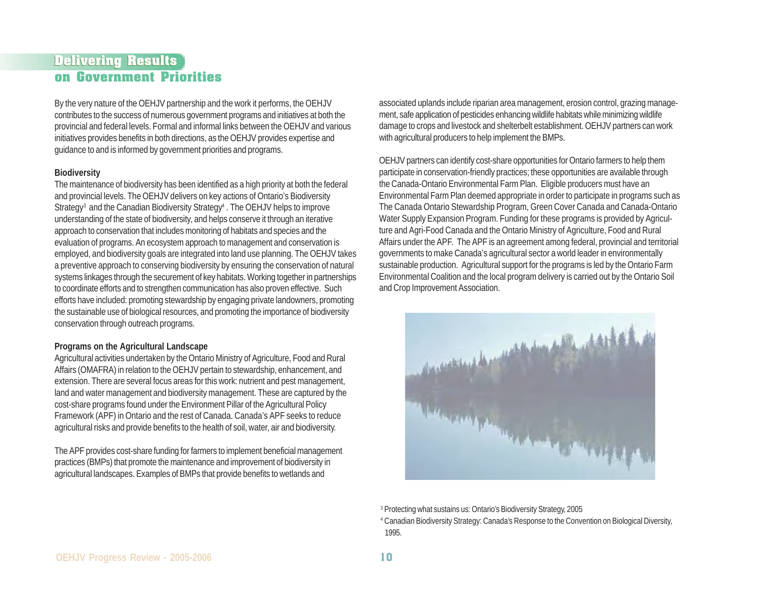## **Delivering Results Delivering Results on Government Priorities**

By the very nature of the OEHJV partnership and the work it performs, the OEHJV contributes to the success of numerous government programs and initiatives at both the provincial and federal levels. Formal and informal links between the OEHJV and various initiatives provides benefits in both directions, as the OEHJV provides expertise and guidance to and is informed by government priorities and programs.

#### **Biodiversity**

The maintenance of biodiversity has been identified as a high priority at both the federal and provincial levels. The OEHJV delivers on key actions of Ontario's Biodiversity Strategy<sup>3</sup> and the Canadian Biodiversity Strategy<sup>4</sup>. The OEHJV helps to improve understanding of the state of biodiversity, and helps conserve it through an iterative approach to conservation that includes monitoring of habitats and species and the evaluation of programs. An ecosystem approach to management and conservation is employed, and biodiversity goals are integrated into land use planning. The OEHJV takes a preventive approach to conserving biodiversity by ensuring the conservation of natural systems linkages through the securement of key habitats. Working together in partnerships to coordinate efforts and to strengthen communication has also proven effective. Such efforts have included: promoting stewardship by engaging private landowners, promoting the sustainable use of biological resources, and promoting the importance of biodiversity conservation through outreach programs.

#### **Programs on the Agricultural Landscape**

Agricultural activities undertaken by the Ontario Ministry of Agriculture, Food and Rural Affairs (OMAFRA) in relation to the OEHJV pertain to stewardship, enhancement, and extension. There are several focus areas for this work: nutrient and pest management, land and water management and biodiversity management. These are captured by the cost-share programs found under the Environment Pillar of the Agricultural Policy Framework (APF) in Ontario and the rest of Canada. Canada's APF seeks to reduce agricultural risks and provide benefits to the health of soil, water, air and biodiversity.

The APF provides cost-share funding for farmers to implement beneficial management practices (BMPs) that promote the maintenance and improvement of biodiversity in agricultural landscapes. Examples of BMPs that provide benefits to wetlands and

associated uplands include riparian area management, erosion control, grazing management, safe application of pesticides enhancing wildlife habitats while minimizing wildlife damage to crops and livestock and shelterbelt establishment. OEHJV partners can work with agricultural producers to help implement the BMPs.

OEHJV partners can identify cost-share opportunities for Ontario farmers to help them participate in conservation-friendly practices; these opportunities are available through the Canada-Ontario Environmental Farm Plan. Eligible producers must have an Environmental Farm Plan deemed appropriate in order to participate in programs such as The Canada Ontario Stewardship Program, Green Cover Canada and Canada-Ontario Water Supply Expansion Program. Funding for these programs is provided by Agriculture and Agri-Food Canada and the Ontario Ministry of Agriculture, Food and Rural Affairs under the APF. The APF is an agreement among federal, provincial and territorial governments to make Canada's agricultural sector a world leader in environmentally sustainable production. Agricultural support for the programs is led by the Ontario Farm Environmental Coalition and the local program delivery is carried out by the Ontario Soil and Crop Improvement Association.



3 Protecting what sustains us: Ontario's Biodiversity Strategy, 2005 4 Canadian Biodiversity Strategy: Canada's Response to the Convention on Biological Diversity, 1995.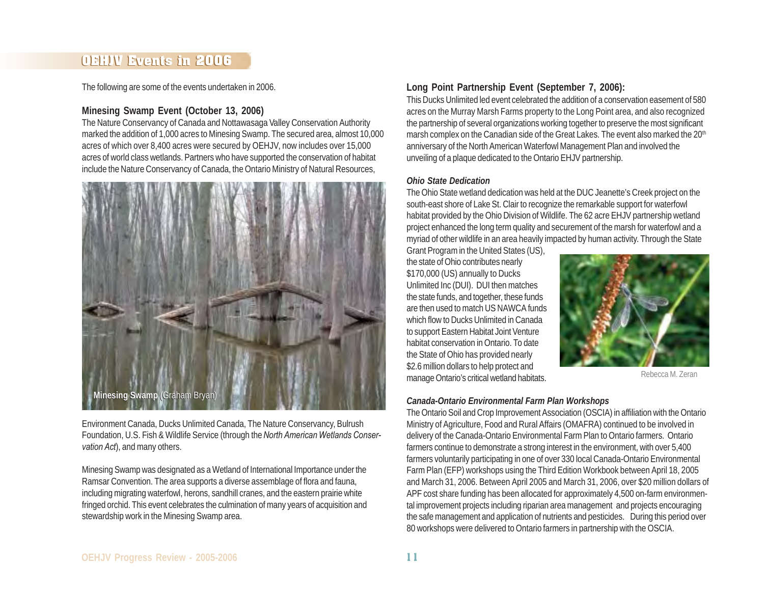# **OEHJV Events in 2006**

The following are some of the events undertaken in 2006.

### **Minesing Swamp Event (October 13, 2006)**

The Nature Conservancy of Canada and Nottawasaga Valley Conservation Authority marked the addition of 1,000 acres to Minesing Swamp. The secured area, almost 10,000 acres of which over 8,400 acres were secured by OEHJV, now includes over 15,000 acres of world class wetlands. Partners who have supported the conservation of habitat include the Nature Conservancy of Canada, the Ontario Ministry of Natural Resources,



Environment Canada, Ducks Unlimited Canada, The Nature Conservancy, Bulrush Foundation, U.S. Fish & Wildlife Service (through the *North American Wetlands Conservation Act*), and many others.

Minesing Swamp was designated as a Wetland of International Importance under the Ramsar Convention. The area supports a diverse assemblage of flora and fauna, including migrating waterfowl, herons, sandhill cranes, and the eastern prairie white fringed orchid. This event celebrates the culmination of many years of acquisition and stewardship work in the Minesing Swamp area.

## **Long Point Partnership Event (September 7, 2006):**

This Ducks Unlimited led event celebrated the addition of a conservation easement of 580 acres on the Murray Marsh Farms property to the Long Point area, and also recognized the partnership of several organizations working together to preserve the most significant marsh complex on the Canadian side of the Great Lakes. The event also marked the 20<sup>th</sup> anniversary of the North American Waterfowl Management Plan and involved the unveiling of a plaque dedicated to the Ontario EHJV partnership.

#### *Ohio State Dedication*

The Ohio State wetland dedication was held at the DUC Jeanette's Creek project on the south-east shore of Lake St. Clair to recognize the remarkable support for waterfowl habitat provided by the Ohio Division of Wildlife. The 62 acre EHJV partnership wetland project enhanced the long term quality and securement of the marsh for waterfowl and a myriad of other wildlife in an area heavily impacted by human activity. Through the State

Grant Program in the United States (US), the state of Ohio contributes nearly \$170,000 (US) annually to Ducks Unlimited Inc (DUI). DUI then matches the state funds, and together, these funds are then used to match US NAWCA funds which flow to Ducks Unlimited in Canada to support Eastern Habitat Joint Venture habitat conservation in Ontario. To date the State of Ohio has provided nearly \$2.6 million dollars to help protect and manage Ontario's critical wetland habitats.



Rebecca M. Zeran

#### *Canada-Ontario Environmental Farm Plan Workshops*

The Ontario Soil and Crop Improvement Association (OSCIA) in affiliation with the Ontario Ministry of Agriculture, Food and Rural Affairs (OMAFRA) continued to be involved in delivery of the Canada-Ontario Environmental Farm Plan to Ontario farmers. Ontario farmers continue to demonstrate a strong interest in the environment, with over 5,400 farmers voluntarily participating in one of over 330 local Canada-Ontario Environmental Farm Plan (EFP) workshops using the Third Edition Workbook between April 18, 2005 and March 31, 2006. Between April 2005 and March 31, 2006, over \$20 million dollars of APF cost share funding has been allocated for approximately 4,500 on-farm environmental improvement projects including riparian area management and projects encouraging the safe management and application of nutrients and pesticides. During this period over 80 workshops were delivered to Ontario farmers in partnership with the OSCIA.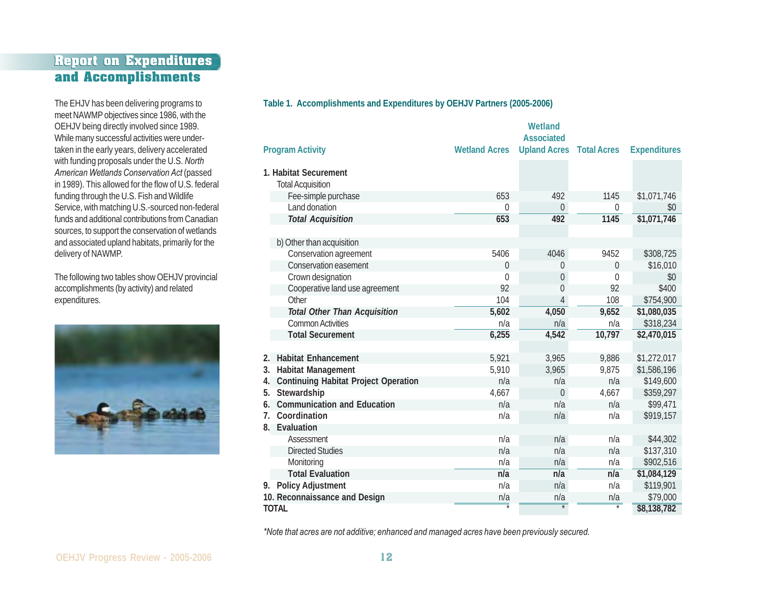# **Report on Expenditures Report on Expenditures and Accomplishments**

The EHJV has been delivering programs to meet NAWMP objectives since 1986, with the OEHJV being directly involved since 1989. While many successful activities were undertaken in the early years, delivery accelerated with funding proposals under the U.S. *North American Wetlands Conservation Act* (passed in 1989). This allowed for the flow of U.S. federal funding through the U.S. Fish and Wildlife Service, with matching U.S.-sourced non-federal funds and additional contributions from Canadian sources, to support the conservation of wetlands and associated upland habitats, primarily for the delivery of NAWMP.

The following two tables show OEHJV provincial accomplishments (by activity) and related expenditures.



#### **Table 1. Accomplishments and Expenditures by OEHJV Partners (2005-2006)**

|                               |                                             |                      | Wetland                                              |                   |                     |
|-------------------------------|---------------------------------------------|----------------------|------------------------------------------------------|-------------------|---------------------|
| <b>Program Activity</b>       |                                             | <b>Wetland Acres</b> | <b>Associated</b><br><b>Upland Acres</b> Total Acres |                   | <b>Expenditures</b> |
|                               |                                             |                      |                                                      |                   |                     |
| 1. Habitat Securement         |                                             |                      |                                                      |                   |                     |
|                               | <b>Total Acquisition</b>                    |                      |                                                      |                   |                     |
|                               | Fee-simple purchase                         | 653                  | 492                                                  | 1145              | \$1,071,746         |
|                               | Land donation                               | $\Omega$             | $\overline{0}$                                       | 0                 | \$0                 |
|                               | <b>Total Acquisition</b>                    | 653                  | 492                                                  | 1145              | \$1,071,746         |
|                               | b) Other than acquisition                   |                      |                                                      |                   |                     |
|                               | Conservation agreement                      | 5406                 | 4046                                                 | 9452              | \$308,725           |
|                               | Conservation easement                       | $\mathbf{0}$         | 0                                                    | $\mathbf{0}$      | \$16,010            |
|                               | Crown designation                           | 0                    | 0                                                    | $\theta$          | \$0                 |
|                               | Cooperative land use agreement              | 92                   | $\theta$                                             | 92                | \$400               |
|                               | Other                                       | 104                  | 4                                                    | 108               | \$754,900           |
|                               | <b>Total Other Than Acquisition</b>         | 5,602                | 4,050                                                | 9,652             | \$1,080,035         |
|                               | <b>Common Activities</b>                    | n/a                  | n/a                                                  | n/a               | \$318,234           |
|                               | <b>Total Securement</b>                     | 6,255                | 4,542                                                | 10,797            | \$2,470,015         |
|                               |                                             |                      |                                                      |                   |                     |
| 2.                            | <b>Habitat Enhancement</b>                  | 5,921                | 3,965                                                | 9,886             | \$1,272,017         |
| 3.                            | <b>Habitat Management</b>                   | 5,910                | 3,965                                                | 9,875             | \$1,586,196         |
| 4.                            | <b>Continuing Habitat Project Operation</b> | n/a                  | n/a                                                  | n/a               | \$149,600           |
| 5.                            | Stewardship                                 | 4,667                | $\mathbf 0$                                          | 4,667             | \$359,297           |
| 6.                            | <b>Communication and Education</b>          | n/a                  | n/a                                                  | n/a               | \$99,471            |
| $7_{\cdot}$                   | Coordination                                | n/a                  | n/a                                                  | n/a               | \$919,157           |
| 8.                            | Evaluation                                  |                      |                                                      |                   |                     |
|                               | Assessment                                  | n/a                  | n/a                                                  | n/a               | \$44,302            |
|                               | <b>Directed Studies</b>                     | n/a                  | n/a                                                  | n/a               | \$137,310           |
|                               | Monitoring                                  | n/a                  | n/a                                                  | n/a               | \$902,516           |
|                               | <b>Total Evaluation</b>                     | n/a                  | n/a                                                  | n/a               | \$1,084,129         |
| 9.                            | <b>Policy Adjustment</b>                    | n/a                  | n/a                                                  | n/a               | \$119,901           |
| 10. Reconnaissance and Design |                                             | n/a                  | n/a                                                  | n/a               | \$79,000            |
| <b>TOTAL</b>                  |                                             |                      |                                                      | $\overline{\ast}$ | \$8,138,782         |

*\*Note that acres are not additive; enhanced and managed acres have been previously secured.*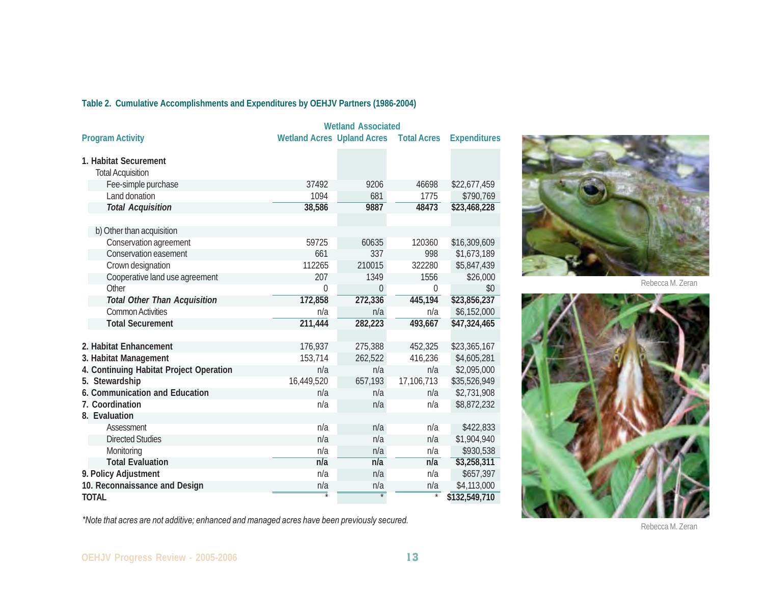## **Table 2. Cumulative Accomplishments and Expenditures by OEHJV Partners (1986-2004)**

|                                                   | <b>Wetland Associated</b>         |                   |                    |                     |
|---------------------------------------------------|-----------------------------------|-------------------|--------------------|---------------------|
| <b>Program Activity</b>                           | <b>Wetland Acres Upland Acres</b> |                   | <b>Total Acres</b> | <b>Expenditures</b> |
| 1. Habitat Securement<br><b>Total Acquisition</b> |                                   |                   |                    |                     |
| Fee-simple purchase                               | 37492                             | 9206              | 46698              | \$22,677,459        |
| Land donation                                     | 1094                              | 681               | 1775               | \$790,769           |
| <b>Total Acquisition</b>                          | 38,586                            | 9887              | 48473              | \$23,468,228        |
|                                                   |                                   |                   |                    |                     |
| b) Other than acquisition                         |                                   |                   |                    |                     |
| Conservation agreement                            | 59725                             | 60635             | 120360             | \$16,309,609        |
| Conservation easement                             | 661                               | 337               | 998                | \$1,673,189         |
| Crown designation                                 | 112265                            | 210015            | 322280             | \$5,847,439         |
| Cooperative land use agreement                    | 207                               | 1349              | 1556               | \$26,000            |
| Other                                             | $\Omega$                          | $\theta$          | $\theta$           | \$0                 |
| <b>Total Other Than Acquisition</b>               | 172,858                           | 272,336           | 445,194            | \$23,856,237        |
| <b>Common Activities</b>                          | n/a                               | n/a               | n/a                | \$6,152,000         |
| <b>Total Securement</b>                           | 211,444                           | 282,223           | 493,667            | \$47,324,465        |
|                                                   |                                   |                   |                    |                     |
| 2. Habitat Enhancement                            | 176,937                           | 275,388           | 452,325            | \$23,365,167        |
| 3. Habitat Management                             | 153,714                           | 262,522           | 416,236            | \$4,605,281         |
| 4. Continuing Habitat Project Operation           | n/a                               | n/a               | n/a                | \$2,095,000         |
| 5. Stewardship                                    | 16,449,520                        | 657,193           | 17,106,713         | \$35,526,949        |
| 6. Communication and Education                    | n/a                               | n/a               | n/a                | \$2,731,908         |
| 7. Coordination                                   | n/a                               | n/a               | n/a                | \$8,872,232         |
| 8. Evaluation                                     |                                   |                   |                    |                     |
| Assessment                                        | n/a                               | n/a               | n/a                | \$422,833           |
| <b>Directed Studies</b>                           | n/a                               | n/a               | n/a                | \$1,904,940         |
| Monitoring                                        | n/a                               | n/a               | n/a                | \$930,538           |
| <b>Total Evaluation</b>                           | n/a                               | n/a               | n/a                | \$3,258,311         |
| 9. Policy Adjustment                              | n/a                               | n/a               | n/a                | \$657,397           |
| 10. Reconnaissance and Design                     | n/a                               | n/a               | n/a                | \$4,113,000         |
| <b>TOTAL</b>                                      |                                   | $\overline{\ast}$ | $\overline{\ast}$  | \$132,549,710       |



Rebecca M. Zeran



*\*Note that acres are not additive; enhanced and managed acres have been previously secured.*

Rebecca M. Zeran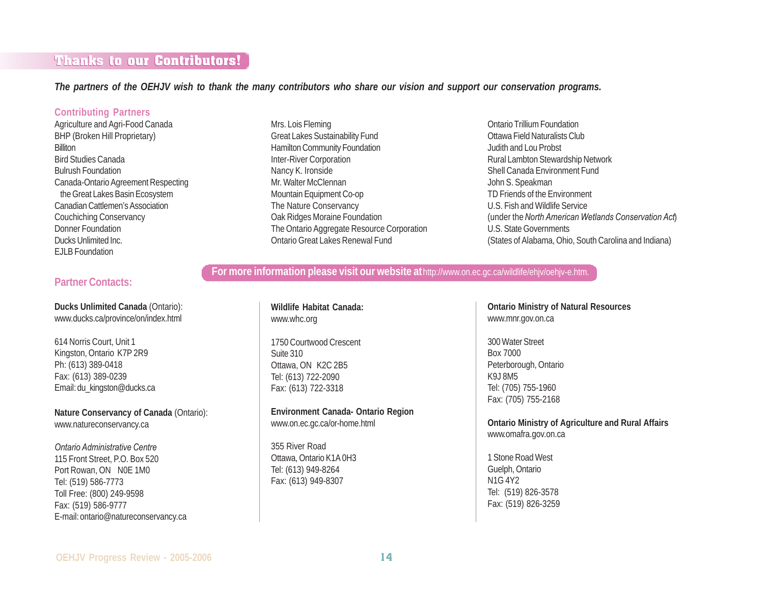# **Thanks to our Contributors! Thanks to our Contributors!**

*The partners of the OEHJV wish to thank the many contributors who share our vision and support our conservation programs.*

#### **Contributing Partners**

Agriculture and Agri-Food Canada BHP (Broken Hill Proprietary) **Billiton** Bird Studies Canada Bulrush Foundation Canada-Ontario Agreement Respecting the Great Lakes Basin Ecosystem Canadian Cattlemen's Association Couchiching Conservancy Donner Foundation Ducks Unlimited Inc. EJLB Foundation

### **Partner Contacts:**

**Ducks Unlimited Canada** (Ontario): www.ducks.ca/province/on/index.html

614 Norris Court, Unit 1 Kingston, Ontario K7P 2R9 Ph: (613) 389-0418 Fax: (613) 389-0239 Email: du\_kingston@ducks.ca

**Nature Conservancy of Canada** (Ontario): www.natureconservancy.ca

### *Ontario Administrative Centre*

115 Front Street, P.O. Box 520 Port Rowan, ON N0E 1M0 Tel: (519) 586-7773 Toll Free: (800) 249-9598 Fax: (519) 586-9777 E-mail: ontario@natureconservancy.ca Mrs. Lois Fleming Great Lakes Sustainability Fund Hamilton Community Foundation Inter-River Corporation Nancy K. Ironside Mr. Walter McClennan Mountain Equipment Co-op The Nature Conservancy Oak Ridges Moraine Foundation The Ontario Aggregate Resource Corporation Ontario Great Lakes Renewal Fund

Ontario Trillium Foundation Ottawa Field Naturalists Club Judith and Lou Probst Rural Lambton Stewardship Network Shell Canada Environment Fund John S. Speakman TD Friends of the Environment U.S. Fish and Wildlife Service (under the *North American Wetlands Conservation Act*) U.S. State Governments (States of Alabama, Ohio, South Carolina and Indiana)

### **For more information please visit our website at**http://www.on.ec.gc.ca/wildlife/ehjv/oehjv-e.htm.

**Wildlife Habitat Canada:** www.whc.org

1750 Courtwood Crescent Suite 310 Ottawa, ON K2C 2B5 Tel: (613) 722-2090 Fax: (613) 722-3318

**Environment Canada- Ontario Region** www.on.ec.gc.ca/or-home.html

355 River Road Ottawa, Ontario K1A 0H3 Tel: (613) 949-8264 Fax: (613) 949-8307

**Ontario Ministry of Natural Resources** www.mnr.gov.on.ca

300 Water Street Box 7000 Peterborough, Ontario K9J 8M5 Tel: (705) 755-1960 Fax: (705) 755-2168

**Ontario Ministry of Agriculture and Rural Affairs** www.omafra.gov.on.ca

1 Stone Road West Guelph, Ontario N1G 4Y2 Tel: (519) 826-3578 Fax: (519) 826-3259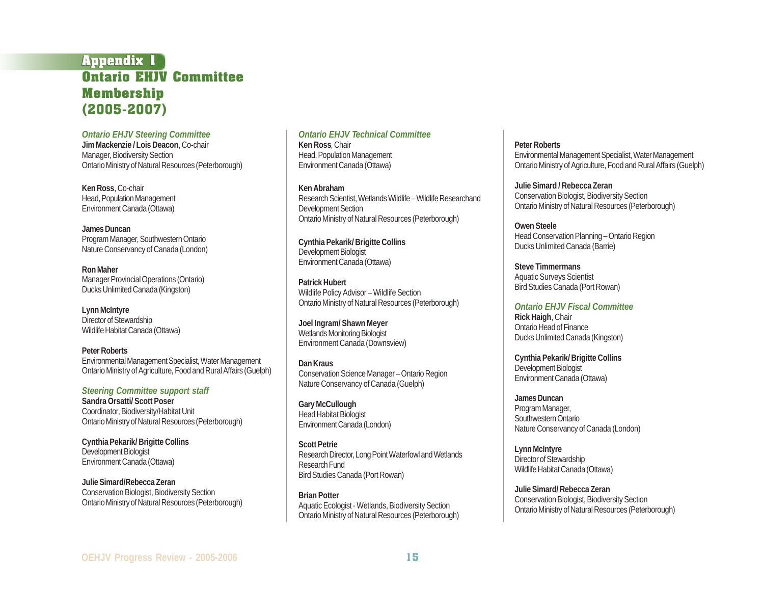## **Appendix 1 Appendix 1 Ontario EHJV Committee Membership** (2005-2007)

*Ontario EHJV Steering Committee* **Jim Mackenzie / Lois Deacon**, Co-chair Manager, Biodiversity Section Ontario Ministry of Natural Resources (Peterborough)

**Ken Ross**, Co-chair Head, Population Management Environment Canada (Ottawa)

**James Duncan** Program Manager, Southwestern Ontario Nature Conservancy of Canada (London)

**Ron Maher** Manager Provincial Operations (Ontario) Ducks Unlimited Canada (Kingston)

**Lynn McIntyre** Director of Stewardship Wildlife Habitat Canada (Ottawa)

**Peter Roberts** Environmental Management Specialist, Water Management Ontario Ministry of Agriculture, Food and Rural Affairs (Guelph)

*Steering Committee support staff* **Sandra Orsatti/ Scott Poser** Coordinator, Biodiversity/Habitat Unit Ontario Ministry of Natural Resources (Peterborough)

**Cynthia Pekarik/ Brigitte Collins** Development Biologist Environment Canada (Ottawa)

**Julie Simard/Rebecca Zeran** Conservation Biologist, Biodiversity Section Ontario Ministry of Natural Resources (Peterborough)

*Ontario EHJV Technical Committee* **Ken Ross**, Chair Head, Population Management Environment Canada (Ottawa)

**Ken Abraham** Research Scientist, Wetlands Wildlife – Wildlife Researchand Development Section Ontario Ministry of Natural Resources (Peterborough)

**Cynthia Pekarik/ Brigitte Collins** Development Biologist Environment Canada (Ottawa)

**Patrick Hubert** Wildlife Policy Advisor – Wildlife Section Ontario Ministry of Natural Resources (Peterborough)

**Joel Ingram/ Shawn Meyer** Wetlands Monitoring Biologist Environment Canada (Downsview)

**Dan Kraus** Conservation Science Manager – Ontario Region Nature Conservancy of Canada (Guelph)

**Gary McCullough** Head Habitat Biologist Environment Canada (London)

**Scott Petrie** Research Director, Long Point Waterfowl and Wetlands Research Fund Bird Studies Canada (Port Rowan)

**Brian Potter** Aquatic Ecologist - Wetlands, Biodiversity Section Ontario Ministry of Natural Resources (Peterborough) **Peter Roberts** Environmental Management Specialist, Water Management Ontario Ministry of Agriculture, Food and Rural Affairs (Guelph)

**Julie Simard / Rebecca Zeran** Conservation Biologist, Biodiversity Section Ontario Ministry of Natural Resources (Peterborough)

**Owen Steele** Head Conservation Planning – Ontario Region Ducks Unlimited Canada (Barrie)

**Steve Timmermans** Aquatic Surveys Scientist Bird Studies Canada (Port Rowan)

*Ontario EHJV Fiscal Committee* **Rick Haigh**, Chair Ontario Head of Finance Ducks Unlimited Canada (Kingston)

**Cynthia Pekarik/ Brigitte Collins** Development Biologist Environment Canada (Ottawa)

**James Duncan** Program Manager, Southwestern Ontario Nature Conservancy of Canada (London)

**Lynn McIntyre** Director of Stewardship Wildlife Habitat Canada (Ottawa)

**Julie Simard/ Rebecca Zeran** Conservation Biologist, Biodiversity Section Ontario Ministry of Natural Resources (Peterborough)